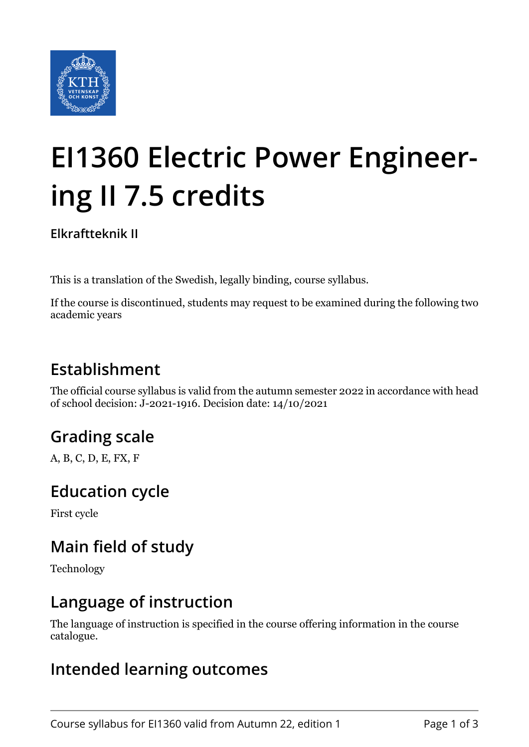

# **EI1360 Electric Power Engineering II 7.5 credits**

**Elkraftteknik II**

This is a translation of the Swedish, legally binding, course syllabus.

If the course is discontinued, students may request to be examined during the following two academic years

# **Establishment**

The official course syllabus is valid from the autumn semester 2022 in accordance with head of school decision: J-2021-1916. Decision date: 14/10/2021

## **Grading scale**

A, B, C, D, E, FX, F

## **Education cycle**

First cycle

## **Main field of study**

Technology

#### **Language of instruction**

The language of instruction is specified in the course offering information in the course catalogue.

#### **Intended learning outcomes**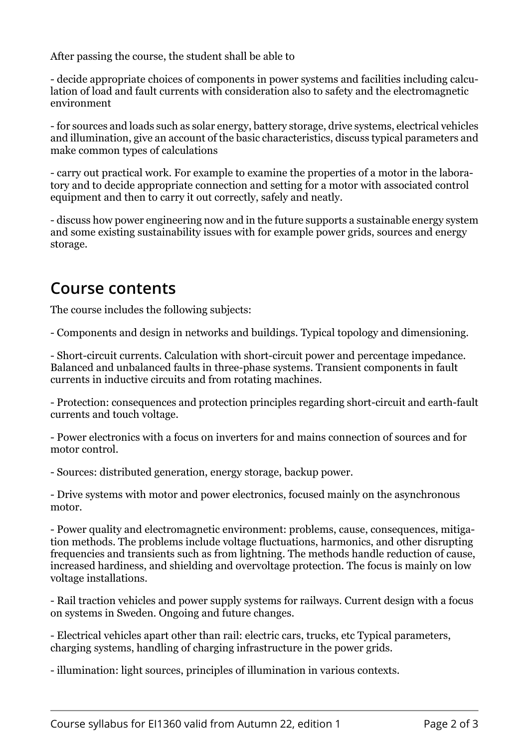After passing the course, the student shall be able to

- decide appropriate choices of components in power systems and facilities including calculation of load and fault currents with consideration also to safety and the electromagnetic environment

- for sources and loads such as solar energy, battery storage, drive systems, electrical vehicles and illumination, give an account of the basic characteristics, discuss typical parameters and make common types of calculations

- carry out practical work. For example to examine the properties of a motor in the laboratory and to decide appropriate connection and setting for a motor with associated control equipment and then to carry it out correctly, safely and neatly.

- discuss how power engineering now and in the future supports a sustainable energy system and some existing sustainability issues with for example power grids, sources and energy storage.

#### **Course contents**

The course includes the following subjects:

- Components and design in networks and buildings. Typical topology and dimensioning.

- Short-circuit currents. Calculation with short-circuit power and percentage impedance. Balanced and unbalanced faults in three-phase systems. Transient components in fault currents in inductive circuits and from rotating machines.

- Protection: consequences and protection principles regarding short-circuit and earth-fault currents and touch voltage.

- Power electronics with a focus on inverters for and mains connection of sources and for motor control.

- Sources: distributed generation, energy storage, backup power.

- Drive systems with motor and power electronics, focused mainly on the asynchronous motor.

- Power quality and electromagnetic environment: problems, cause, consequences, mitigation methods. The problems include voltage fluctuations, harmonics, and other disrupting frequencies and transients such as from lightning. The methods handle reduction of cause, increased hardiness, and shielding and overvoltage protection. The focus is mainly on low voltage installations.

- Rail traction vehicles and power supply systems for railways. Current design with a focus on systems in Sweden. Ongoing and future changes.

- Electrical vehicles apart other than rail: electric cars, trucks, etc Typical parameters, charging systems, handling of charging infrastructure in the power grids.

- illumination: light sources, principles of illumination in various contexts.